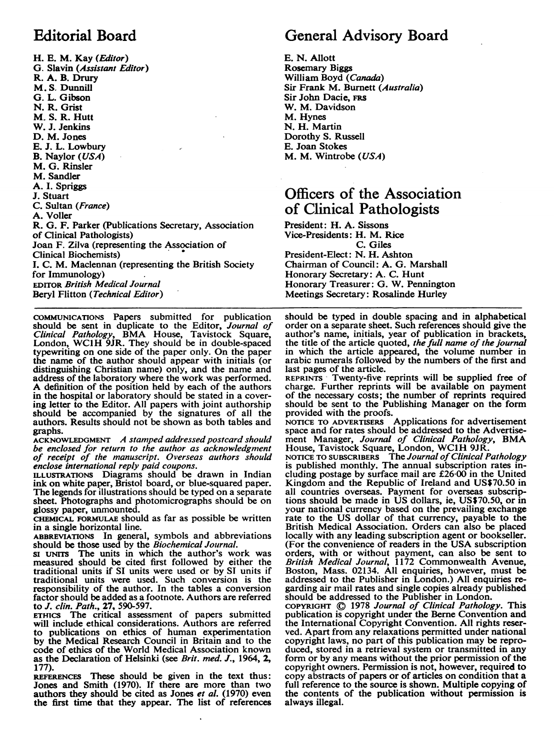# Editorial Board

H. E. M. Kay (Editor) G. Slavin (Assistant Editor) R. A. B. Drury M. S. Dunnill G. L. Gibson N. R. Grist M. S. R. Hutt W. J. Jenkins D. M. Jones E. J. L. Lowbury B. Naylor (USA) M. G. Rinsler M. Sandler A. I. Spriggs J. Stuart C. Sultan (France) A. Voller R. G. F. Parker (Publications Secretary, Association of Clinical Pathologists) Joan F. Zilva (representing the Association of Clinical Biochemists) I. C. M. Maclennan (representing the British Society for Immunology) EDITOR British Medical Journal Beryl Flitton (Technical Editor)

COMMUNICATIONS Papers submitted for publication should be sent in duplicate to the Editor, *Journal of Clinical Pathology*, BMA House, Tavistock Square, London, WC1H 9JR. They should be in double-spaced typewriting on one side of the paper only. On the paper the name of the author should appear with initials (or distinguishing Christian name) only, and the name and address of the laboratory where the work was performed. A definition of the position held by each of the authors in the hospital or laboratory should be stated in a covering letter to the Editor. All papers with joint authorship should be accompanied by the signatures of all the authors. Results should not be shown as both tables and graphs.

ACKNOWLEDGMENT A stamped addressed postcard should be enclosed for return to the author as acknowledgment of receipt of the manuscript. Overseas authors should

enclose international reply paid coupons. ILLUSTRATIONS Diagrams should be drawn in Indian ink on white paper, Bristol board, or blue-squared paper. The legends for illustrations should be typed on a separate sheet. Photographs and photomicrographs should be on glossy paper, unmounted.

CHEMICAL FORMULAE should as far as possible be written in a single horizontal line.

ABBREVIATIONS In general, symbols and abbreviations

should be those used by the *Biochemical Journal*.<br>Si UNITS The units in which the author's work was measured should be cited first followed by either the traditional units if SI units were used or by ST units if traditional units were used. Such conversion is the responsibility of the author. In the tables a conversion factor should be added as a footnote. Authors are referred to J. clin. Path., 27, 590-597.

ETHicS The critical assessment of papers submitted will include ethical considerations. Authors are referred to publications on ethics of human experimentation by the Medical Research Council in Britain and to the code of ethics of the World Medical Association known as the Declaration of Helsinki (see Brit. med. J., 1964, 2, 177).

REFERENCES These should be given in the text thus: Jones and Smith (1970). If there are more than two authors they should be cited as Jones *et al.* (1970) even the first time that they appear. The list of references

# General Advisory Board

E. N. Allott Rosemary Biggs William Boyd (Canada) Sir Frank M. Burnett (Australia) Sir John Dacie, FRS W. M. Davidson M. Hynes N. H. Martin Dorothy S. Russell E. Joan Stokes M. M. Wintrobe (USA)

## Officers of the Association of Clinical Pathologists

President: H. A. Sissons Vice-Presidents: H. M. Rice C. Giles President-Elect: N. H. Ashton Chairman of Council: A. G. Marshall Honorary Secretary: A. C. Hunt Honorary Treasurer: G. W. Pennington Meetings Secretary: Rosalinde Hurley

should be typed in double spacing and in alphabetical order on a separate sheet. Such references should give the author's name, initials, year of publication in brackets, the title of the article quoted, the full name of the journal in which the article appeared, the volume number in arabic numerals followed by the numbers of the first and last pages of the article.

REPRINTS Twenty-five reprints will be supplied free of charge. Further reprints will be available on payment of the necessary costs; the number of reprints required should be sent to the Publishing Manager on the form provided with the proofs.

NOTICE TO ADVERTISERS Applications for advertisement space and for rates should be addressed to the Advertise-<br>ment Manager, *Journal of Clinical Pathology*, BMA<br>House, Tavistock Square, London, WC1H 9JR.<br>NOTICE TO SUBSCRIBERS The Journal of Clinical Pathology

is published monthly. The annual subscription rates including postage by surface mail are £26-00 in the United Kingdom and the Republic of Ireland and US\$70.50 in all countries overseas. Payment for overseas subscriptions should be made in US dollars, ie, US\$70.50, or in your national currency based on the prevailing exchange rate to the US dollar of that currency, payable to the British Medical Association. Orders can also be placed locally with any leading subscription agent or bookseller. (For the convenience of readers in the USA subscription orders, with or without payment, can also be sent to British Medical Journal, 1172 Commonwealth Avenue, Boston, Mass. 02134. All enquiries, however, must be addressed to the Publisher in London.) All enquiries regarding air mail rates and single copies already published should be addressed to the Publisher in London.

COPYRIGHT ©) 1978 Journal of Clinical Pathology. This publication is copyright under the Berne Convention and the International Copyright Convention. All rights reserved. Apart from any relaxations permitted under national copyright laws, no part of this publication may be reproduced, stored in a retrieval system or transmitted in any form or by any means without the prior permission of the copyright owners. Permission is not, however, required to copy abstracts of papers or of articles on condition that a full reference to the source is shown. Multiple copying of the contents of the publication without permission is always illegal.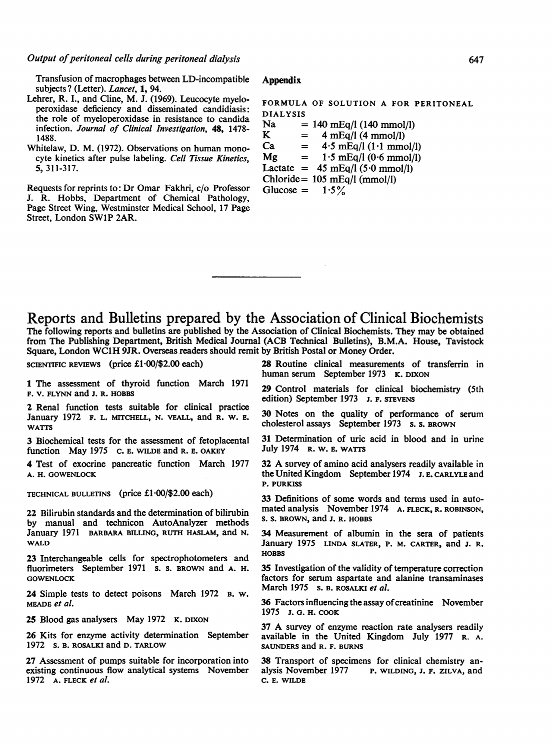Transfusion of macrophages between LD-incompatible subjects? (Letter). Lancet, 1, 94.

- Lehrer, R. I., and Cline, M. J. (1969). Leucocyte myeloperoxidase deficiency and disseminated candidiasis: the role of myeloperoxidase in resistance to candida infection. Journal of Clinical Investigation, 48, 1478- 1488.
- Whitelaw, D. M. (1972). Observations on human monocyte kinetics after pulse labeling. Cell Tissue Kinetics, 5, 311-317.

Requests for reprints to: Dr Omar Fakhri, c/o Professor J. R. Hobbs, Department of Chemical Pathology, Page Street Wing, Westminster Medical School, 17 Page Street, London SWIP 2AR.

#### **Appendix**

FORMULA OF SOLUTION A FOR PERITONEAL DIALYSIS<br>Na = Na = 140 mEq/l (140 mmol/l)<br>K = 4 mEq/l (4 mmol/l) K =  $4 \text{ mEq}/\text{l} (4 \text{ mmol/l})$ <br>Ca =  $4.5 \text{ mEq}/\text{l} (1.1 \text{ mmol})$  $= 4.5$  mEq/l (1.1 mmol/l)  $Mg = 1.5$  mEq/l (0.6 mmol/l) Lactate =  $45 \text{ mEq}/\text{l} (5.0 \text{ mmol/l})$ 

Chloride= 105 mEq/l (mmol/l) Glucose =  $1.5\%$ 

### Reports and Bulletins prepared by the Association of Clinical Biochemists The following reports and bulletins are published by the Association of Clinical Biochemists. They may be obtained

from The Publishing Department, British Medical Journal (ACB Technical Bulletins), B.M.A. House, Tavistock Square, London WC1H 9JR. Overseas readers should remit by British Postal or Money Order.

SCIENTIFIC REVIEWS (price £1 $\cdot$ 00/\$2.00 each)

1 The assessment of thyroid function March 1971 F. V. FLYNN and J. R. HOBBS

2 Renal function tests suitable for clinical practice January 1972 F. L. MITCHELL, N. VEALL, and R. W. E. **WATTS** 

3 Biochemical tests for the assessment of fetoplacental function May 1975 c. E. WILDE and R. E. OAKEY

4 Test of exocrine pancreatic function March 1977 A. H. GOWENLOCK

TECHNICAL BULLETINS (price  $£1·00/$2.00 each)$ 

22 Bilirubin standards and the determination of bilirubin by manual and technicon AutoAnalyzer methods January 1971 BARBARA BILLING, RUTH HASLAM, and N. WALD

23 Interchangeable cells for spectrophotometers and fluorimeters September 1971 s. s. BROWN and A. H. **GOWENLOCK** 

24 Simple tests to detect poisons March 1972 B. W. MEADE et al.

25 Blood gas analysers May 1972 K. DIXON

26 Kits for enzyme activity determination September 1972 s. B. ROSALKI and D. TARLOW

27 Assessment of pumps suitable for incorporation into existing continuous flow analytical systems November 1972 A. FLECK et al.

28 Routine clinical measurements of transferrin in human serum September 1973 K. DIXON

29 Control materials for clinical biochemistry (5th edition) September 1973 J. F. STEVENS

30 Notes on the quality of performance of serum cholesterol assays September 1973 s. s. BROWN

31 Determination of uric acid in blood and in urine July 1974 R. W. E. WATTS

<sup>32</sup> A survey of amino acid analysers readily available in the United Kingdom September1974 J. E. CARLYLE and P. PURKISS

33 Definitions of some words and terms used in automated analysis November 1974 A. FLECK, R. ROBINSON, s. s. BROWN, and J. R. HOBBS

34 Measurement of albumin in the sera of patients January 1975 LINDA SLATER, P. M. CARTER, and J. R. **HORBS** 

35 Investigation of the validity of temperature correction factors for serum aspartate and alanine transaminases March 1975 s. B. ROSALKI et al.

36 Factors influencing the assay of creatinine November 1975 J. 0. H. COOK

<sup>37</sup> A survey of enzyme reaction rate analysers readily available in the United Kingdom July 1977 R. A. SAUNDERS and R. F. BURNS

38 Transport of specimens for clinical chemistry an-<br>alysis November 1977 P. WILDING, J. F. ZILVA. and P. WILDING, J. F. ZILVA, and C. E. WILDE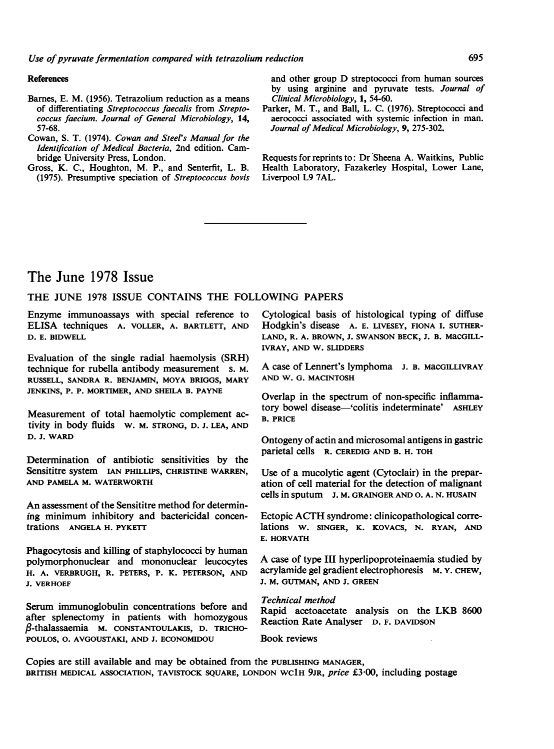#### References

- Barnes, E. M. (1956). Tetrazolium reduction as a means of differentiating Streptococcus faecalis from Streptococcus faecium. Journal of General Microbiology, 14, 57-68.
- Cowan, S. T. (1974). Cowan and Steel's Manual for the Identification of Medical Bacteria, 2nd edition. Cambridge University Press, London.
- Gross, K. C., Houghton, M. P., and Senterfit, L. B. (1975). Presumptive speciation of Streptococcus bovis

and other group D streptococci from human sources by using arginine and pyruvate tests. Journal of Clinical Microbiology, 1, 54-60.

Parker, M. T., and Ball, L. C. (1976). Streptococci and aerococci associated with systemic infection in man. Journal of Medical Microbiology, 9, 275-302.

Requests for reprints to: Dr Sheena A. Waitkins, Public Health Laboratory, Fazakerley Hospital, Lower Lane, Liverpool L9 7AL.

## The June 1978 Issue

### THE JUNE <sup>1978</sup> ISSUE CONTAINS THE FOLLOWING PAPERS

Enzyme immunoassays with special reference to ELISA techniques A. VOLLER, A. BARTLETT, AND D. E. BIDWELL

Evaluation of the single radial haemolysis (SRH) technique for rubella antibody measurement s. M. RUSSELL, SANDRA R. BENJAMIN, MOYA BRIGGS, MARY JENKINS, P. P. MORTIMER, AND SHEILA B. PAYNE

Measurement of total haemolytic complement activity in body fluids W. M. STRONG, D. J. LEA, AND D. J. WARD

Determination of antibiotic sensitivities by the Sensititre system IAN PHILLIPS, CHRISTINE WARREN, AND PAMELA M. WATERWORTH

An assessment of the Sensititre method for determining minimum inhibitory and bactericidal concentrations ANGELA H. PYKETT

Phagocytosis and killing of staphylococci by human polymorphonuclear and mononuclear leucocytes H. A. VERBRUGH, R. PETERS, P. K. PETERSON, AND J. VERHOEF

Serum immunoglobulin concentrations before and after splenectomy in patients with homozygous  $\beta$ -thalassaemia M. CONSTANTOULAKIS, D. TRICHO-POULOS, 0. AVGOUSTAKI, AND J. ECONOMIDOU

Cytological basis of histological typing of diffuse Hodgkin's disease A. E. LIVESEY, FIONA I. SUTHER-LAND, R. A. BROWN, J. SWANSON BECK, J. B. MaCGILL-IVRAY, AND W. SLIDDERS

A case of Lennert's lymphoma J. B. MaCGILLIVRAY AND W. G. MACINTOSH

Overlap in the spectrum of non-specific inflammatory bowel disease—'colitis indeterminate' ASHLEY B. PRICE

Ontogeny of actin and microsomal antigens in gastric parietal cells R. CEREDIG AND B. H. TOH

Use of a mucolytic agent (Cytoclair) in the preparation of cell material for the detection of malignant cells in sputum J. M. GRAINGER AND 0. A. N. HUSAIN

Ectopic ACTH syndrome: clinicopathological correlations W. SINGER, K. KOVACS, N. RYAN, AND E. HORVATH

A case of type III hyperlipoproteinaemia studied by acrylamide gel gradient electrophoresis M. Y. CHEW, J. M. GUTMAN, AND J. GREEN

Technical method

Rapid acetoacetate analysis on the LKB <sup>8600</sup> Reaction Rate Analyser D. F. DAVIDSON

Book reviews

Copies are still available and may be obtained from the PUBLISHING MANAGER, BRITISH MEDICAL ASSOCIATION, TAVISTOCK SQUARE, LONDON WC1H 9JR, *price* £3.00, including postage